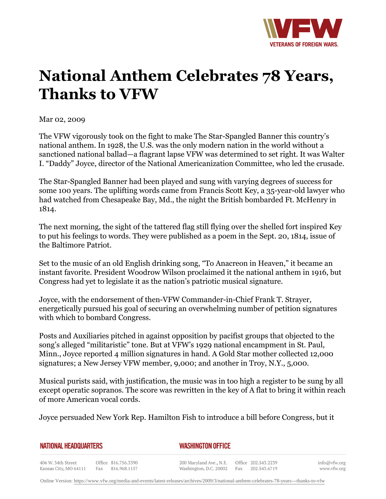

## **National Anthem Celebrates 78 Years, Thanks to VFW**

Mar 02, 2009

The VFW vigorously took on the fight to make The Star-Spangled Banner this country's national anthem. In 1928, the U.S. was the only modern nation in the world without a sanctioned national ballad—a flagrant lapse VFW was determined to set right. It was Walter I. "Daddy" Joyce, director of the National Americanization Committee, who led the crusade.

The Star-Spangled Banner had been played and sung with varying degrees of success for some 100 years. The uplifting words came from Francis Scott Key, a 35-year-old lawyer who had watched from Chesapeake Bay, Md., the night the British bombarded Ft. McHenry in 1814.

The next morning, the sight of the tattered flag still flying over the shelled fort inspired Key to put his feelings to words. They were published as a poem in the Sept. 20, 1814, issue of the Baltimore Patriot.

Set to the music of an old English drinking song, "To Anacreon in Heaven," it became an instant favorite. President Woodrow Wilson proclaimed it the national anthem in 1916, but Congress had yet to legislate it as the nation's patriotic musical signature.

Joyce, with the endorsement of then-VFW Commander-in-Chief Frank T. Strayer, energetically pursued his goal of securing an overwhelming number of petition signatures with which to bombard Congress.

Posts and Auxiliaries pitched in against opposition by pacifist groups that objected to the song's alleged "militaristic" tone. But at VFW's 1929 national encampment in St. Paul, Minn., Joyce reported 4 million signatures in hand. A Gold Star mother collected 12,000 signatures; a New Jersey VFW member, 9,000; and another in Troy, N.Y., 5,000.

Musical purists said, with justification, the music was in too high a register to be sung by all except operatic sopranos. The score was rewritten in the key of A flat to bring it within reach of more American vocal cords.

Joyce persuaded New York Rep. Hamilton Fish to introduce a bill before Congress, but it

*WASHINGTON OFFICE* 

406 W. 34th Street Office 816.756.3390 Fax 816.968.1157 Kansas City, MO 64111

200 Maryland Ave., N.E. Washington, D.C. 20002

Office 202.543.2239 Fax 202.543.6719 info@vfw.org www.vfw.org

Online Version:<https://www.vfw.org/media-and-events/latest-releases/archives/2009/3/national-anthem-celebrates-78-years---thanks-to-vfw>